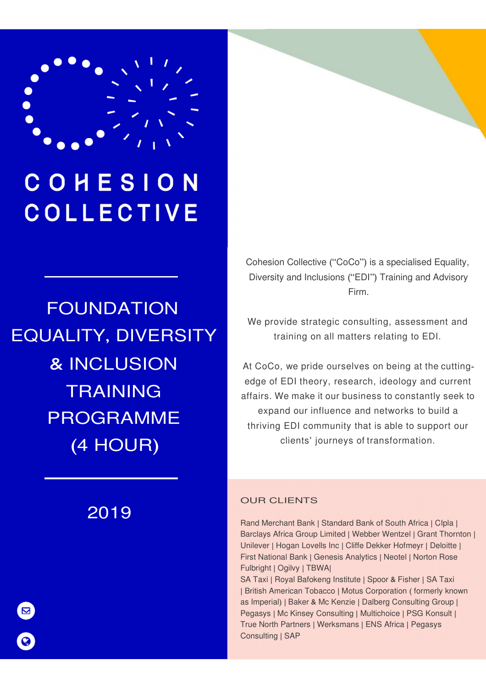

# COHESION **COLLECTIVE**

# FOUNDATION EQUALITY, DIVERSITY & INCLUSION TRAINING PROGRAMME (4 HOUR)

2019

Cohesion Collective ("CoCo") is a specialised Equality, Diversity and Inclusions ("EDI") Training and Advisory Firm.

We provide strategic consulting, assessment and training on all matters relating to EDI.

At CoCo, we pride ourselves on being at the cuttingedge of EDI theory, research, ideology and current affairs. We make it our business to constantly seek to expand our influence and networks to build a thriving EDI community that is able to support our clients' journeys of transformation.

### OUR CLIENTS

Rand Merchant Bank | Standard Bank of South Africa | CIpla | Barclays Africa Group Limited | Webber Wentzel | Grant Thornton | Unilever | Hogan Lovells Inc | Cliffe Dekker Hofmeyr | Deloitte | First National Bank | Genesis Analytics | Neotel | Norton Rose Fulbright | Ogilvy | TBWA|

SA Taxi | Royal Bafokeng Institute | Spoor & Fisher | SA Taxi | British American Tobacco | Motus Corporation ( formerly known as Imperial) | Baker & Mc Kenzie | Dalberg Consulting Group | Pegasys | Mc Kinsey Consulting | Multichoice | PSG Konsult | True North Partners | Werksmans | ENS Africa | Pegasys Consulting | SAP